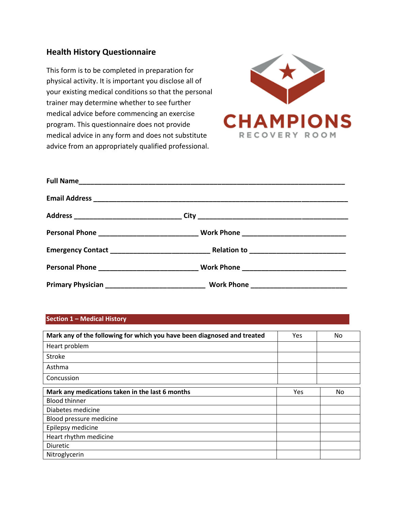## **Health History Questionnaire**

This form is to be completed in preparation for physical activity. It is important you disclose all of your existing medical conditions so that the personal trainer may determine whether to see further medical advice before commencing an exercise program. This questionnaire does not provide medical advice in any form and does not substitute advice from an appropriately qualified professional.



## **Section 1 – Medical History**

| Mark any of the following for which you have been diagnosed and treated | Yes | No |
|-------------------------------------------------------------------------|-----|----|
| Heart problem                                                           |     |    |
| Stroke                                                                  |     |    |
| Asthma                                                                  |     |    |
| Concussion                                                              |     |    |
| Mark any medications taken in the last 6 months                         | Yes | No |
| <b>Blood thinner</b>                                                    |     |    |
| Diabetes medicine                                                       |     |    |
| Blood pressure medicine                                                 |     |    |
| Epilepsy medicine                                                       |     |    |
| Heart rhythm medicine                                                   |     |    |
| <b>Diuretic</b>                                                         |     |    |
| Nitroglycerin                                                           |     |    |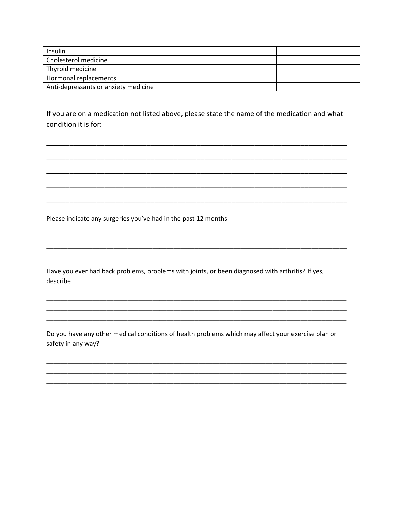| Insulin                              |  |
|--------------------------------------|--|
| Cholesterol medicine                 |  |
| Thyroid medicine                     |  |
| Hormonal replacements                |  |
| Anti-depressants or anxiety medicine |  |

If you are on a medication not listed above, please state the name of the medication and what condition it is for:

Please indicate any surgeries you've had in the past 12 months

Have you ever had back problems, problems with joints, or been diagnosed with arthritis? If yes, describe

Do you have any other medical conditions of health problems which may affect your exercise plan or safety in any way?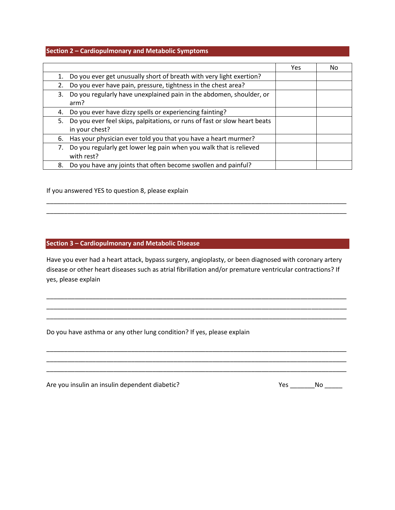## **Section 2 – Cardiopulmonary and Metabolic Symptoms**

|                                                                                 | Yes | Nο |
|---------------------------------------------------------------------------------|-----|----|
| Do you ever get unusually short of breath with very light exertion?             |     |    |
| Do you ever have pain, pressure, tightness in the chest area?                   |     |    |
| Do you regularly have unexplained pain in the abdomen, shoulder, or<br>3.       |     |    |
| arm?                                                                            |     |    |
| Do you ever have dizzy spells or experiencing fainting?<br>4.                   |     |    |
| Do you ever feel skips, palpitations, or runs of fast or slow heart beats<br>5. |     |    |
| in your chest?                                                                  |     |    |
| Has your physician ever told you that you have a heart murmer?<br>6.            |     |    |
| Do you regularly get lower leg pain when you walk that is relieved<br>7.        |     |    |
| with rest?                                                                      |     |    |
| Do you have any joints that often become swollen and painful?<br>8.             |     |    |

If you answered YES to question 8, please explain

## **Section 3 – Cardiopulmonary and Metabolic Disease**

Have you ever had a heart attack, bypass surgery, angioplasty, or been diagnosed with coronary artery disease or other heart diseases such as atrial fibrillation and/or premature ventricular contractions? If yes, please explain

\_\_\_\_\_\_\_\_\_\_\_\_\_\_\_\_\_\_\_\_\_\_\_\_\_\_\_\_\_\_\_\_\_\_\_\_\_\_\_\_\_\_\_\_\_\_\_\_\_\_\_\_\_\_\_\_\_\_\_\_\_\_\_\_\_\_\_\_\_\_\_\_\_\_\_\_\_\_\_\_\_\_\_\_\_ \_\_\_\_\_\_\_\_\_\_\_\_\_\_\_\_\_\_\_\_\_\_\_\_\_\_\_\_\_\_\_\_\_\_\_\_\_\_\_\_\_\_\_\_\_\_\_\_\_\_\_\_\_\_\_\_\_\_\_\_\_\_\_\_\_\_\_\_\_\_\_\_\_\_\_\_\_\_\_\_\_\_\_\_\_ \_\_\_\_\_\_\_\_\_\_\_\_\_\_\_\_\_\_\_\_\_\_\_\_\_\_\_\_\_\_\_\_\_\_\_\_\_\_\_\_\_\_\_\_\_\_\_\_\_\_\_\_\_\_\_\_\_\_\_\_\_\_\_\_\_\_\_\_\_\_\_\_\_\_\_\_\_\_\_\_\_\_\_\_\_

\_\_\_\_\_\_\_\_\_\_\_\_\_\_\_\_\_\_\_\_\_\_\_\_\_\_\_\_\_\_\_\_\_\_\_\_\_\_\_\_\_\_\_\_\_\_\_\_\_\_\_\_\_\_\_\_\_\_\_\_\_\_\_\_\_\_\_\_\_\_\_\_\_\_\_\_\_\_\_\_\_\_\_\_\_ \_\_\_\_\_\_\_\_\_\_\_\_\_\_\_\_\_\_\_\_\_\_\_\_\_\_\_\_\_\_\_\_\_\_\_\_\_\_\_\_\_\_\_\_\_\_\_\_\_\_\_\_\_\_\_\_\_\_\_\_\_\_\_\_\_\_\_\_\_\_\_\_\_\_\_\_\_\_\_\_\_\_\_\_\_ \_\_\_\_\_\_\_\_\_\_\_\_\_\_\_\_\_\_\_\_\_\_\_\_\_\_\_\_\_\_\_\_\_\_\_\_\_\_\_\_\_\_\_\_\_\_\_\_\_\_\_\_\_\_\_\_\_\_\_\_\_\_\_\_\_\_\_\_\_\_\_\_\_\_\_\_\_\_\_\_\_\_\_\_\_

\_\_\_\_\_\_\_\_\_\_\_\_\_\_\_\_\_\_\_\_\_\_\_\_\_\_\_\_\_\_\_\_\_\_\_\_\_\_\_\_\_\_\_\_\_\_\_\_\_\_\_\_\_\_\_\_\_\_\_\_\_\_\_\_\_\_\_\_\_\_\_\_\_\_\_\_\_\_\_\_\_\_\_\_\_ \_\_\_\_\_\_\_\_\_\_\_\_\_\_\_\_\_\_\_\_\_\_\_\_\_\_\_\_\_\_\_\_\_\_\_\_\_\_\_\_\_\_\_\_\_\_\_\_\_\_\_\_\_\_\_\_\_\_\_\_\_\_\_\_\_\_\_\_\_\_\_\_\_\_\_\_\_\_\_\_\_\_\_\_\_

Do you have asthma or any other lung condition? If yes, please explain

Are you insulin an insulin dependent diabetic? No example 2 Yes example 2 Yes example 2 No example 2 Yes example 2 No